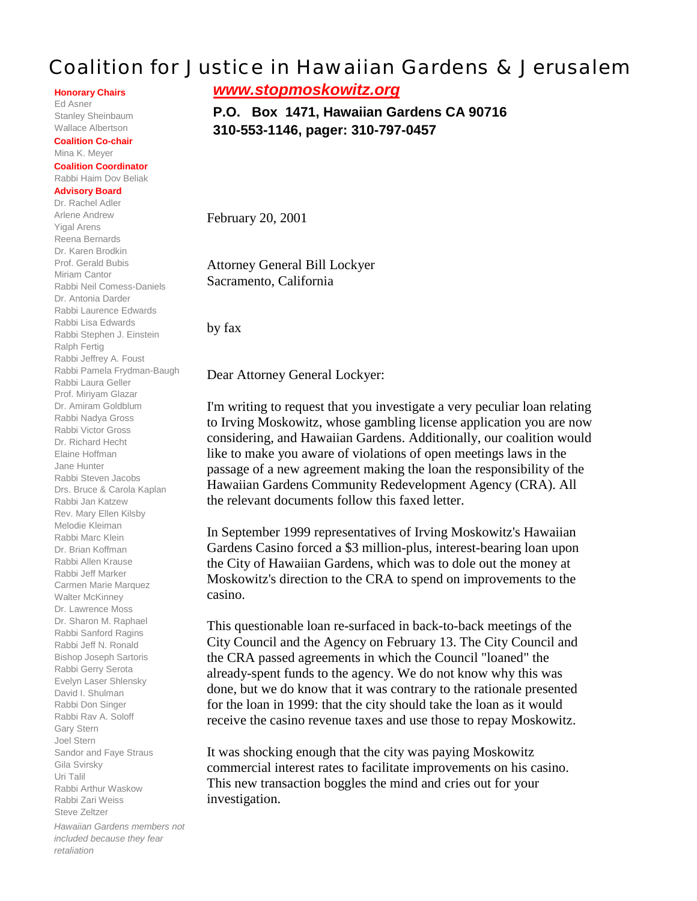## Coalition for Justice in Hawaiian Gardens & Jerusalem

**Honorary Chairs**

Ed Asner Stanley Sheinbaum Wallace Albertson

**Coalition Co-chair** Mina K. Meyer

## **Coalition Coordinator** Rabbi Haim Dov Beliak

## **Advisory Board**

Dr. Rachel Adler Arlene Andrew Yigal Arens Reena Bernards Dr. Karen Brodkin Prof. Gerald Bubis Miriam Cantor Rabbi Neil Comess-Daniels Dr. Antonia Darder Rabbi Laurence Edwards Rabbi Lisa Edwards Rabbi Stephen J. Einstein Ralph Fertig Rabbi Jeffrey A. Foust Rabbi Pamela Frydman-Baugh Rabbi Laura Geller Prof. Miriyam Glazar Dr. Amiram Goldblum Rabbi Nadya Gross Rabbi Victor Gross Dr. Richard Hecht Elaine Hoffman Jane Hunter Rabbi Steven Jacobs Drs. Bruce & Carola Kaplan Rabbi Jan Katzew Rev. Mary Ellen Kilsby Melodie Kleiman Rabbi Marc Klein Dr. Brian Koffman Rabbi Allen Krause Rabbi Jeff Marker Carmen Marie Marquez Walter McKinney Dr. Lawrence Moss Dr. Sharon M. Raphael Rabbi Sanford Ragins Rabbi Jeff N. Ronald Bishop Joseph Sartoris Rabbi Gerry Serota Evelyn Laser Shlensky David I. Shulman Rabbi Don Singer Rabbi Rav A. Soloff Gary Stern Joel Stern Sandor and Faye Straus Gila Svirsky Uri Talil Rabbi Arthur Waskow Rabbi Zari Weiss Steve Zeltzer *Hawaiian Gardens members not included because they fear*

*retaliation*

*www.stopmoskowitz.org*

**P.O. Box 1471, Hawaiian Gardens CA 90716 310-553-1146, pager: 310-797-0457**

February 20, 2001

Attorney General Bill Lockyer Sacramento, California

by fax

Dear Attorney General Lockyer:

I'm writing to request that you investigate a very peculiar loan relating to Irving Moskowitz, whose gambling license application you are now considering, and Hawaiian Gardens. Additionally, our coalition would like to make you aware of violations of open meetings laws in the passage of a new agreement making the loan the responsibility of the Hawaiian Gardens Community Redevelopment Agency (CRA). All the relevant documents follow this faxed letter.

In September 1999 representatives of Irving Moskowitz's Hawaiian Gardens Casino forced a \$3 million-plus, interest-bearing loan upon the City of Hawaiian Gardens, which was to dole out the money at Moskowitz's direction to the CRA to spend on improvements to the casino.

This questionable loan re-surfaced in back-to-back meetings of the City Council and the Agency on February 13. The City Council and the CRA passed agreements in which the Council "loaned" the already-spent funds to the agency. We do not know why this was done, but we do know that it was contrary to the rationale presented for the loan in 1999: that the city should take the loan as it would receive the casino revenue taxes and use those to repay Moskowitz.

It was shocking enough that the city was paying Moskowitz commercial interest rates to facilitate improvements on his casino. This new transaction boggles the mind and cries out for your investigation.